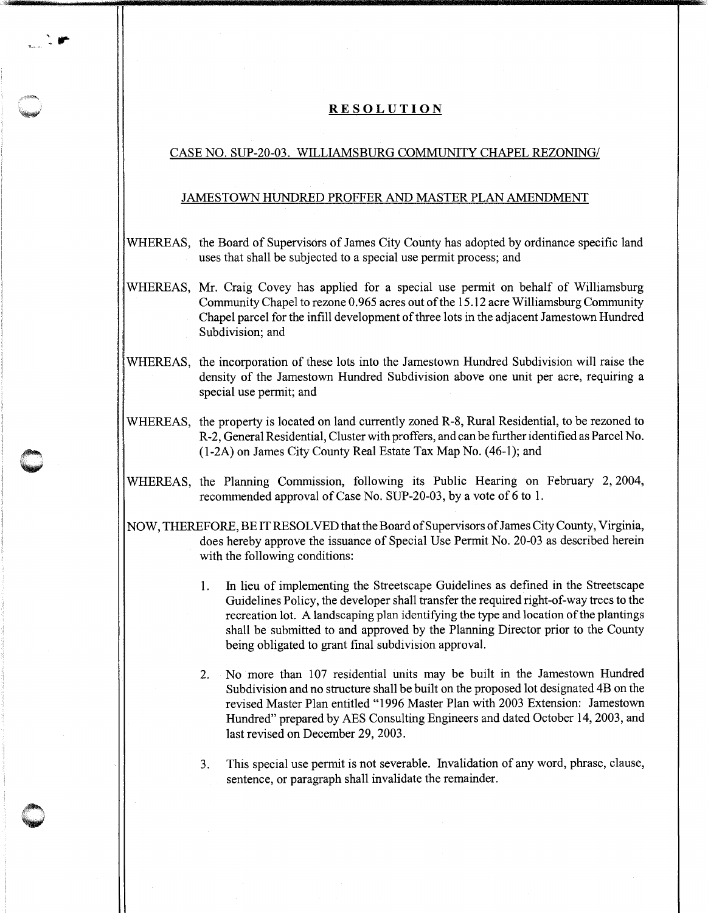## **RESOLUTION**

## CASE NO. SUP-20-03. WILLIAMSBURG COMMUNITY CHAPEL REZONING/

## JAMESTOWN HUNDRED PROFFER AND MASTER PLAN AMENDMENT

- WHEREAS, the Board of Supervisors of James City County has adopted by ordinance specific land uses that shall be subjected to a special use permit process; and
- WHEREAS, Mr. Craig Covey has applied for a special use permit on behalf of Williamsburg Community Chapel to rezone 0. 965 acres out of the 15 .12 acre Williamsburg Community Chapel parcel for the infill development of three lots in the adjacent Jamestown Hundred Subdivision; and
- . WHEREAS, the incorporation of these lots into the Jamestown Hundred Subdivision will raise the density of the Jamestown Hundred Subdivision above one unit per acre, requiring a special use permit; and
- WHEREAS, the property is located on land currently zoned R-8, Rural Residential, to be rezoned to R-2, General Residential, Cluster with proffers, and can be further identified as Parcel No. (1-2A) on James City County Real Estate Tax Map No. (46-1); and
- WHEREAS, the Planning Commission, following its Public Hearing on February 2, 2004, recommended approval of Case No. SUP-20-03, by a vote of 6 to 1.
- NOW, THEREFORE, BE IT RESOLVED thatthe Board of Supervisors ofJames City County, Virginia, does hereby approve the issuance of Special Use Permit No. 20-03 as described herein with the following conditions:
	- 1. In lieu of implementing the Streetscape Guidelines as defined in the Streetscape Guidelines Policy, the developer shall transfer the required right-of-way trees to the recreation lot. A landscaping plan identifying the type and location of the plantings shall be submitted to and approved by the Planning Director prior to the County being obligated to grant final subdivision approval.
	- 2. No more than 107 residential units may be built in the Jamestown Hundred Subdivision and no structure shall be built on the proposed lot designated 4B on the revised Master Plan entitled "1996 Master Plan with 2003 Extension: Jamestown Hundred" prepared by AES Consulting Engineers and dated October 14, 2003, and last revised on December 29, 2003.
	- 3. This special use permit is not severable. Invalidation of any word, phrase, clause, sentence, or paragraph shall invalidate the remainder.